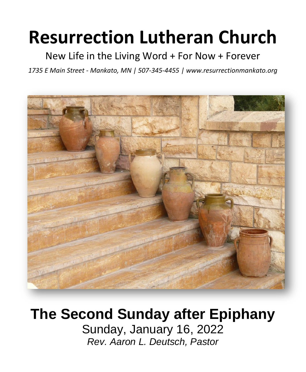# **Resurrection Lutheran Church**

# New Life in the Living Word + For Now + Forever

*1735 E Main Street - Mankato, MN | 507-345-4455 | [www.resurrectionmankato.org](http://www.resurrectionmankato.org/)*



# **The Second Sunday after Epiphany**

Sunday, January 16, 2022 *Rev. Aaron L. Deutsch, Pastor*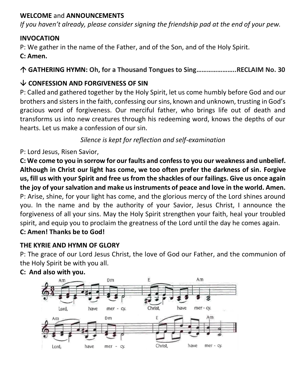## **WELCOME** and **ANNOUNCEMENTS**

*If you haven't already, please consider signing the friendship pad at the end of your pew.* 

# **INVOCATION**

P: We gather in the name of the Father, and of the Son, and of the Holy Spirit.

**C: Amen.**

# **GATHERING HYMN: Oh, for a Thousand Tongues to Sing…………………..RECLAIM No. 30**

# **CONFESSION AND FORGIVENESS OF SIN**

P: Called and gathered together by the Holy Spirit, let us come humbly before God and our brothers and sisters in the faith, confessing our sins, known and unknown, trusting in God's gracious word of forgiveness. Our merciful father, who brings life out of death and transforms us into new creatures through his redeeming word, knows the depths of our hearts. Let us make a confession of our sin.

*Silence is kept for reflection and self-examination*

P: Lord Jesus, Risen Savior,

**C: We come to you in sorrow for our faults and confess to you our weakness and unbelief. Although in Christ our light has come, we too often prefer the darkness of sin. Forgive us, fill us with your Spirit and free us from the shackles of our failings. Give us once again the joy of your salvation and make us instruments of peace and love in the world. Amen.** P: Arise, shine, for your light has come, and the glorious mercy of the Lord shines around you. In the name and by the authority of your Savior, Jesus Christ, I announce the forgiveness of all your sins. May the Holy Spirit strengthen your faith, heal your troubled spirit, and equip you to proclaim the greatness of the Lord until the day he comes again. **C: Amen! Thanks be to God!** 

# **THE KYRIE AND HYMN OF GLORY**

P: The grace of our Lord Jesus Christ, the love of God our Father, and the communion of the Holy Spirit be with you all.



# **C: And also with you.**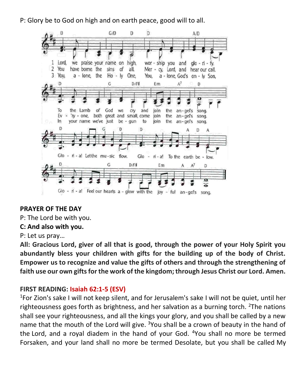P: Glory be to God on high and on earth peace, good will to all.



#### **PRAYER OF THE DAY**

P: The Lord be with you.

#### **C: And also with you.**

P: Let us pray…

**All: Gracious Lord, giver of all that is good, through the power of your Holy Spirit you abundantly bless your children with gifts for the building up of the body of Christ. Empower us to recognize and value the gifts of others and through the strengthening of faith use our own gifts for the work of the kingdom; through Jesus Christ our Lord. Amen.**

#### **FIRST READING: Isaiah 62:1-5 (ESV)**

<sup>1</sup>For Zion's sake I will not keep silent, and for Jerusalem's sake I will not be quiet, until her righteousness goes forth as brightness, and her salvation as a burning torch.  $2\text{The}$  nations shall see your righteousness, and all the kings your glory, and you shall be called by a new name that the mouth of the Lord will give.  $3$ You shall be a crown of beauty in the hand of the Lord, and a royal diadem in the hand of your God. <sup>4</sup>You shall no more be termed Forsaken, and your land shall no more be termed Desolate, but you shall be called My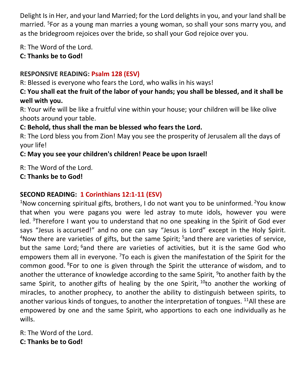Delight Is in Her, and your land Married; for the Lord delights in you, and your land shall be married. <sup>5</sup>For as a young man marries a young woman, so shall your sons marry you, and as the bridegroom rejoices over the bride, so shall your God rejoice over you.

R: The Word of the Lord.

# **C: Thanks be to God!**

# **RESPONSIVE READING: Psalm 128 (ESV)**

R: Blessed is everyone who fears the Lord, who walks in his ways!

# **C: You shall eat the fruit of the labor of your hands; you shall be blessed, and it shall be well with you.**

R: Your wife will be like a fruitful vine within your house; your children will be like olive shoots around your table.

# **C: Behold, thus shall the man be blessed who fears the Lord.**

R: The Lord bless you from Zion! May you see the prosperity of Jerusalem all the days of your life!

# **C: May you see your children's children! Peace be upon Israel!**

R: The Word of the Lord.

# **C: Thanks be to God!**

# **SECOND READING: 1 Corinthians 12:1-11 (ESV)**

<sup>1</sup>Now concerning spiritual gifts, brothers, I do not want you to be uninformed. <sup>2</sup>You know that when you were pagans you were led astray to mute idols, however you were led.  $3$ Therefore I want you to understand that no one speaking in the Spirit of God ever says "Jesus is accursed!" and no one can say "Jesus is Lord" except in the Holy Spirit.  $4$ Now there are varieties of gifts, but the same Spirit;  $5$  and there are varieties of service, but the same Lord; <sup>6</sup>and there are varieties of activities, but it is the same God who empowers them all in everyone. <sup>7</sup>To each is given the manifestation of the Spirit for the common good. <sup>8</sup>For to one is given through the Spirit the utterance of wisdom, and to another the utterance of knowledge according to the same Spirit, <sup>9</sup>to another faith by the same Spirit, to another gifts of healing by the one Spirit,  $10$  to another the working of miracles, to another prophecy, to another the ability to distinguish between spirits, to another various kinds of tongues, to another the interpretation of tongues. <sup>11</sup>All these are empowered by one and the same Spirit, who apportions to each one individually as he wills.

R: The Word of the Lord. **C: Thanks be to God!**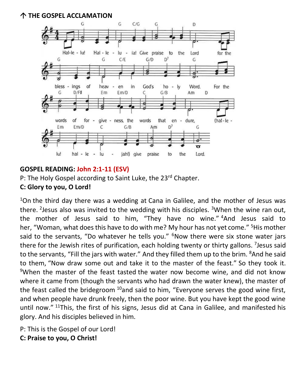**THE GOSPEL ACCLAMATION** 



#### **GOSPEL READING: John 2:1-11 (ESV)**

P: The Holy Gospel according to Saint Luke, the 23<sup>rd</sup> Chapter.

#### **C: Glory to you, O Lord!**

 $1$ On the third day there was a wedding at Cana in Galilee, and the mother of Jesus was there. <sup>2</sup>Jesus also was invited to the wedding with his disciples. <sup>3</sup>When the wine ran out, the mother of Jesus said to him, "They have no wine." <sup>4</sup>And Jesus said to her, "Woman, what does this have to do with me? My hour has not yet come." <sup>5</sup>His mother said to the servants, "Do whatever he tells you."  $6$ Now there were six stone water jars there for the Jewish rites of purification, each holding twenty or thirty gallons. <sup>7</sup>Jesus said to the servants, "Fill the jars with water." And they filled them up to the brim. <sup>8</sup>And he said to them, "Now draw some out and take it to the master of the feast." So they took it. <sup>9</sup>When the master of the feast tasted the water now become wine, and did not know where it came from (though the servants who had drawn the water knew), the master of the feast called the bridegroom  $10$ and said to him, "Everyone serves the good wine first, and when people have drunk freely, then the poor wine. But you have kept the good wine until now." <sup>11</sup>This, the first of his signs, Jesus did at Cana in Galilee, and manifested his glory. And his disciples believed in him.

P: This is the Gospel of our Lord!

**C: Praise to you, O Christ!**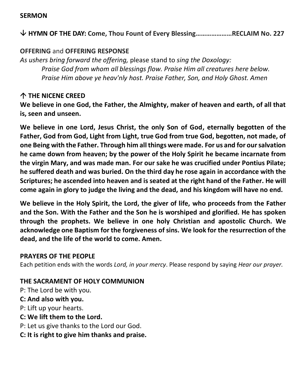#### **SERMON**

**HYMN OF THE DAY: Come, Thou Fount of Every Blessing…………………RECLAIM No. 227**

#### **OFFERING** and **OFFERING RESPONSE**

*As ushers bring forward the offering,* please stand to *sing the Doxology: Praise God from whom all blessings flow. Praise Him all creatures here below. Praise Him above ye heav'nly host. Praise Father, Son, and Holy Ghost. Amen*

#### **THE NICENE CREED**

**We believe in one God, the Father, the Almighty, maker of heaven and earth, of all that is, seen and unseen.**

**We believe in one Lord, Jesus Christ, the only Son of God, eternally begotten of the Father, God from God, Light from Light, true God from true God, begotten, not made, of one Being with the Father. Through him all things were made. For us and for our salvation he came down from heaven; by the power of the Holy Spirit he became incarnate from the virgin Mary, and was made man. For our sake he was crucified under Pontius Pilate; he suffered death and was buried. On the third day he rose again in accordance with the Scriptures; he ascended into heaven and is seated at the right hand of the Father. He will come again in glory to judge the living and the dead, and his kingdom will have no end.**

**We believe in the Holy Spirit, the Lord, the giver of life, who proceeds from the Father and the Son. With the Father and the Son he is worshiped and glorified. He has spoken through the prophets. We believe in one holy Christian and apostolic Church. We acknowledge one Baptism for the forgiveness of sins. We look for the resurrection of the dead, and the life of the world to come. Amen.**

#### **PRAYERS OF THE PEOPLE**

Each petition ends with the words *Lord, in your mercy*. Please respond by saying *Hear our prayer.*

#### **THE SACRAMENT OF HOLY COMMUNION**

P: The Lord be with you.

#### **C: And also with you.**

P: Lift up your hearts.

- **C: We lift them to the Lord.**
- P: Let us give thanks to the Lord our God.
- **C: It is right to give him thanks and praise.**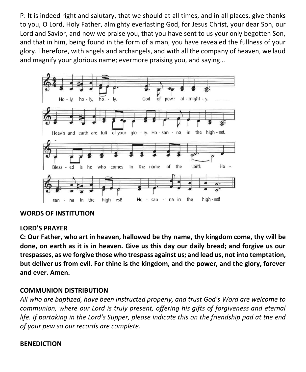P: It is indeed right and salutary, that we should at all times, and in all places, give thanks to you, O Lord, Holy Father, almighty everlasting God, for Jesus Christ, your dear Son, our Lord and Savior, and now we praise you, that you have sent to us your only begotten Son, and that in him, being found in the form of a man, you have revealed the fullness of your glory. Therefore, with angels and archangels, and with all the company of heaven, we laud and magnify your glorious name; evermore praising you, and saying…



#### **WORDS OF INSTITUTION**

#### **LORD'S PRAYER**

**C: Our Father, who art in heaven, hallowed be thy name, thy kingdom come, thy will be done, on earth as it is in heaven. Give us this day our daily bread; and forgive us our trespasses, as we forgive those who trespass against us; and lead us, not into temptation, but deliver us from evil. For thine is the kingdom, and the power, and the glory, forever and ever. Amen.**

#### **COMMUNION DISTRIBUTION**

*All who are baptized, have been instructed properly, and trust God's Word are welcome to communion, where our Lord is truly present, offering his gifts of forgiveness and eternal life. If partaking in the Lord's Supper, please indicate this on the friendship pad at the end of your pew so our records are complete.*

#### **BENEDICTION**